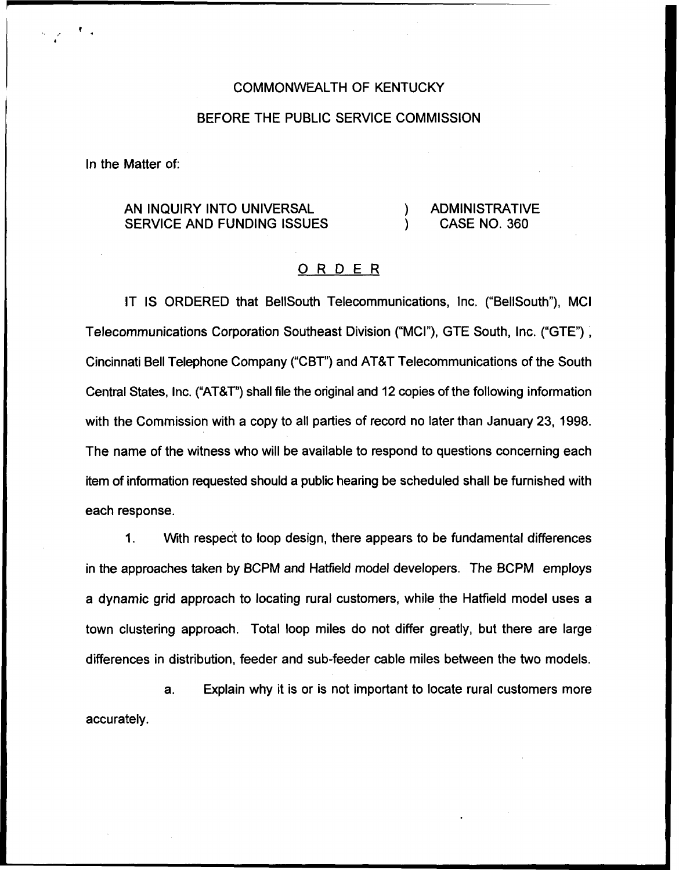#### COMMONWEALTH OF KENTUCKY

### BEFORE THE PUBLIC SERVICE COMMISSION

In the Matter of:

# AN INQUIRY INTO UNIVERSAL SERVICE AND FUNDING ISSUES

### ) ADMINISTRATIVE<br>) CASE NO. 360 ) CASE NO. 360

## ORDER

IT IS ORDERED that BellSouth Telecommunications, Inc. ("BellSouth"), MCI Telecommunications Corporation Southeast Division ("MCI"), GTE South, Inc. ("GTE"), Cincinnati Bell Telephone Company ("CBT")and AT8T Telecommunications of the South Central States, Inc. ("AT&T") shall file the original and 12 copies of the following information with the Commission with a copy to all parties of record no later than January 23, 1998. The name of the witness who will be available to respond to questions concerning each item of information requested should a public hearing be scheduled shall be furnished with each response.

 $1<sub>1</sub>$ With respect to loop design, there appears to be fundamental differences in the approaches taken by BCPM and Hatfield model developers. The BCPM employs a dynamic grid approach to locating rural customers, while the Hatfield model uses a town clustering approach. Total loop miles do not differ greatly, but there are large differences in distribution, feeder and sub-feeder cable miles between the two models.

a. Explain why it is or is not important to locate rural customers more accurately.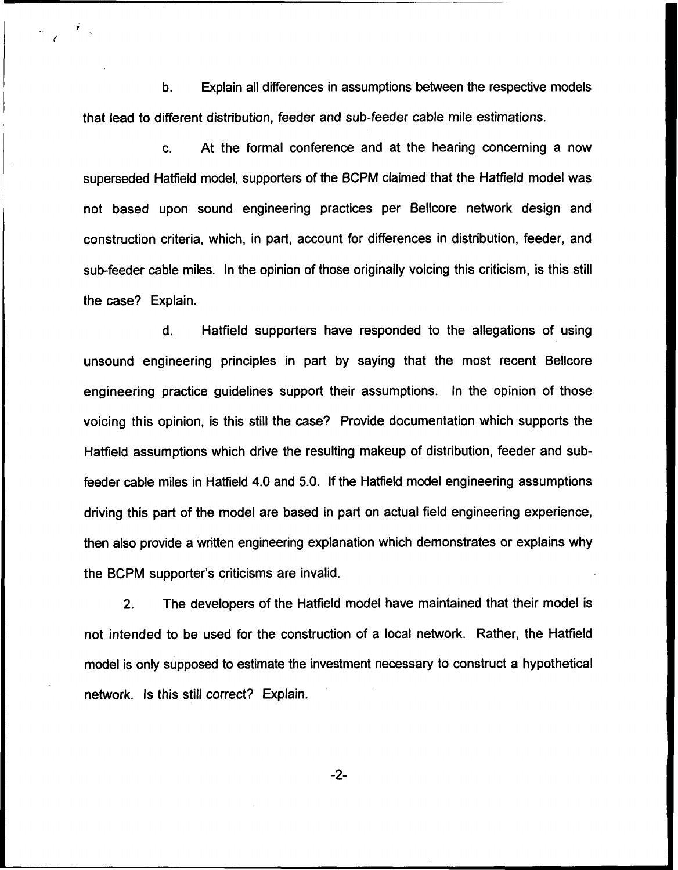b. Explain all differences in assumptions between the respective models that lead to different distribution, feeder and sub-feeder cable mile estimations.

c. At the formal conference and at the hearing concerning a now superseded Hatfield model, supporters of the BCPM claimed that the Haffield model was not based upon sound engineering practices per Bellcore network design and construction criteria, which, in part, account for differences in distribution, feeder, and sub-feeder cable miles. In the opinion of those originally voicing this criticism, is this still the case? Explain.

d. Hatfield supporters have responded to the allegations of using unsound engineering principles in part by saying that the most recent Bellcore engineering practice guidelines support their assumptions. In the opinion of those voicing this opinion, is this still the case? Provide documentation which supports the Hatfield assumptions which drive the resulting makeup of distribution, feeder and subfeeder cable miles in Hatfield 4,0 and 5.0. If the Hatfield model engineering assumptions driving this part of the model are based in part on actual field engineering experience, then also provide a written engineering explanation which demonstrates or explains why the BCPM supporter's criticisms are invalid.

2. The developers of the Hatfield model have maintained that their model is not intended to be used for the construction of a local network. Rather, the Hatfield model is only supposed to estimate the investment necessary to construct a hypothetical network. Is this still correct? Explain.

-2-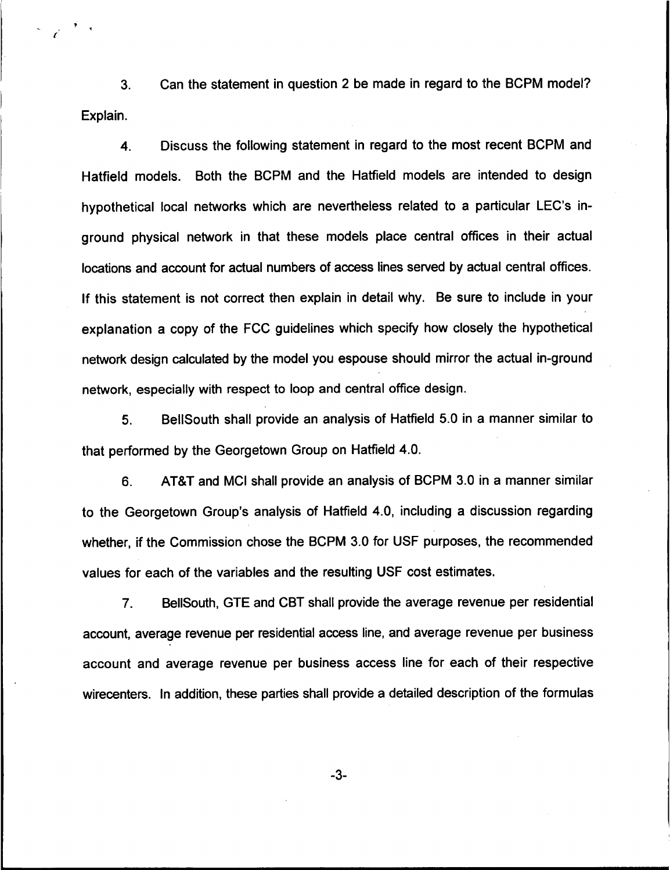3. Can the statement in question 2 be made in regard to the BCPM model? Explain.

4. Discuss the following statement in regard to the most recent BCPM and Hatfield models. Both the BCPM and the Hatfield models are intended to design hypothetical local networks which are nevertheless related to a particular LEC's inground physical network in that these models place central offices in their actual locations and account for actual numbers of access lines served by actual central offices. If this statement is not correct then explain in detail why. Be sure to include in your explanation a copy of the FCC guidelines which specify how closely the hypothetical network design calculated by the model you espouse should mirror the actual in-ground network, especially with respect to loop and central office design.

5. BellSouth shall provide an analysis of Hatfield 5.0 in a manner similar to that performed by the Georgetown Group on Hatfield 4.0.

6. ATBT and MCI shall provide an analysis of BCPM 3.0 in a manner similar to the Georgetown Group's analysis of Haffield 4.0, including a discussion regarding whether, if the Commission chose the BCPM 3.0 for USF purposes, the recommended values for each of the variables and the resulting USF cost estimates.

7. BellSouth, GTE and CBT shall provide the average revenue per residential account, average revenue per residential access line, and average revenue per business account and average revenue per business access line for each of their respective wirecenters. In addition, these parties shall provide a detailed description of the formulas

-3-